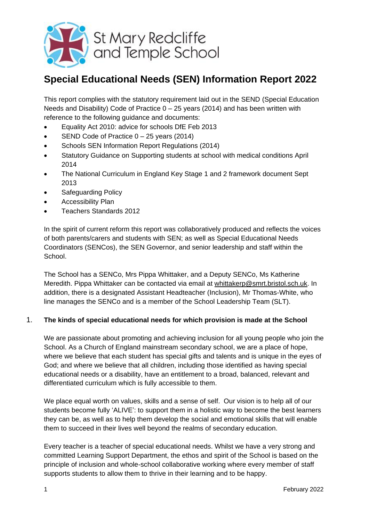

# **Special Educational Needs (SEN) Information Report 2022**

This report complies with the statutory requirement laid out in the SEND (Special Education Needs and Disability) Code of Practice  $0 - 25$  years (2014) and has been written with reference to the following guidance and documents:

- Equality Act 2010: advice for schools DfE Feb 2013
- $\bullet$  SEND Code of Practice  $0 25$  years (2014)
- Schools SEN Information Report Regulations (2014)
- Statutory Guidance on Supporting students at school with medical conditions April 2014
- The National Curriculum in England Key Stage 1 and 2 framework document Sept 2013
- Safeguarding Policy
- Accessibility Plan
- Teachers Standards 2012

In the spirit of current reform this report was collaboratively produced and reflects the voices of both parents/carers and students with SEN; as well as Special Educational Needs Coordinators (SENCos), the SEN Governor, and senior leadership and staff within the School.

The School has a SENCo, Mrs Pippa Whittaker, and a Deputy SENCo, Ms Katherine Meredith. Pippa Whittaker can be contacted via email at [whittakerp@smrt.bristol.sch.uk.](mailto:whittakerp@smrt.bristol.sch.uk) In addition, there is a designated Assistant Headteacher (Inclusion), Mr Thomas-White, who line manages the SENCo and is a member of the School Leadership Team (SLT).

#### 1. **The kinds of special educational needs for which provision is made at the School**

We are passionate about promoting and achieving inclusion for all young people who join the School. As a Church of England mainstream secondary school, we are a place of hope, where we believe that each student has special gifts and talents and is unique in the eyes of God; and where we believe that all children, including those identified as having special educational needs or a disability, have an entitlement to a broad, balanced, relevant and differentiated curriculum which is fully accessible to them.

We place equal worth on values, skills and a sense of self. Our vision is to help all of our students become fully 'ALIVE': to support them in a holistic way to become the best learners they can be, as well as to help them develop the social and emotional skills that will enable them to succeed in their lives well beyond the realms of secondary education.

Every teacher is a teacher of special educational needs. Whilst we have a very strong and committed Learning Support Department, the ethos and spirit of the School is based on the principle of inclusion and whole-school collaborative working where every member of staff supports students to allow them to thrive in their learning and to be happy.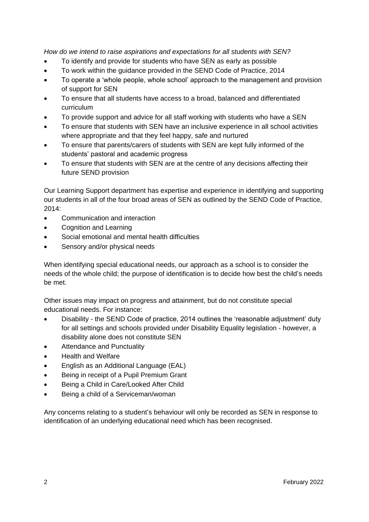*How do we intend to raise aspirations and expectations for all students with SEN?*

- To identify and provide for students who have SEN as early as possible
- To work within the guidance provided in the SEND Code of Practice, 2014
- To operate a 'whole people, whole school' approach to the management and provision of support for SEN
- To ensure that all students have access to a broad, balanced and differentiated curriculum
- To provide support and advice for all staff working with students who have a SEN
- To ensure that students with SEN have an inclusive experience in all school activities where appropriate and that they feel happy, safe and nurtured
- To ensure that parents/carers of students with SEN are kept fully informed of the students' pastoral and academic progress
- To ensure that students with SEN are at the centre of any decisions affecting their future SEND provision

Our Learning Support department has expertise and experience in identifying and supporting our students in all of the four broad areas of SEN as outlined by the SEND Code of Practice,  $2014$ 

- Communication and interaction
- Cognition and Learning
- Social emotional and mental health difficulties
- Sensory and/or physical needs

When identifying special educational needs, our approach as a school is to consider the needs of the whole child; the purpose of identification is to decide how best the child's needs be met.

Other issues may impact on progress and attainment, but do not constitute special educational needs. For instance:

- Disability the SEND Code of practice, 2014 outlines the 'reasonable adjustment' duty for all settings and schools provided under Disability Equality legislation - however, a disability alone does not constitute SEN
- Attendance and Punctuality
- Health and Welfare
- English as an Additional Language (EAL)
- Being in receipt of a Pupil Premium Grant
- Being a Child in Care/Looked After Child
- Being a child of a Serviceman/woman

Any concerns relating to a student's behaviour will only be recorded as SEN in response to identification of an underlying educational need which has been recognised.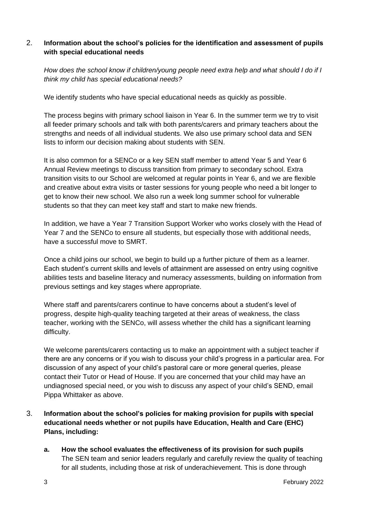#### 2. **Information about the school's policies for the identification and assessment of pupils with special educational needs**

*How does the school know if children/young people need extra help and what should I do if I think my child has special educational needs?*

We identify students who have special educational needs as quickly as possible.

The process begins with primary school liaison in Year 6. In the summer term we try to visit all feeder primary schools and talk with both parents/carers and primary teachers about the strengths and needs of all individual students. We also use primary school data and SEN lists to inform our decision making about students with SEN.

It is also common for a SENCo or a key SEN staff member to attend Year 5 and Year 6 Annual Review meetings to discuss transition from primary to secondary school. Extra transition visits to our School are welcomed at regular points in Year 6, and we are flexible and creative about extra visits or taster sessions for young people who need a bit longer to get to know their new school. We also run a week long summer school for vulnerable students so that they can meet key staff and start to make new friends.

In addition, we have a Year 7 Transition Support Worker who works closely with the Head of Year 7 and the SENCo to ensure all students, but especially those with additional needs, have a successful move to SMRT.

Once a child joins our school, we begin to build up a further picture of them as a learner. Each student's current skills and levels of attainment are assessed on entry using cognitive abilities tests and baseline literacy and numeracy assessments, building on information from previous settings and key stages where appropriate.

Where staff and parents/carers continue to have concerns about a student's level of progress, despite high-quality teaching targeted at their areas of weakness, the class teacher, working with the SENCo, will assess whether the child has a significant learning difficulty.

We welcome parents/carers contacting us to make an appointment with a subject teacher if there are any concerns or if you wish to discuss your child's progress in a particular area. For discussion of any aspect of your child's pastoral care or more general queries, please contact their Tutor or Head of House. If you are concerned that your child may have an undiagnosed special need, or you wish to discuss any aspect of your child's SEND, email Pippa Whittaker as above.

# 3. **Information about the school's policies for making provision for pupils with special educational needs whether or not pupils have Education, Health and Care (EHC) Plans, including:**

**a. How the school evaluates the effectiveness of its provision for such pupils** The SEN team and senior leaders regularly and carefully review the quality of teaching for all students, including those at risk of underachievement. This is done through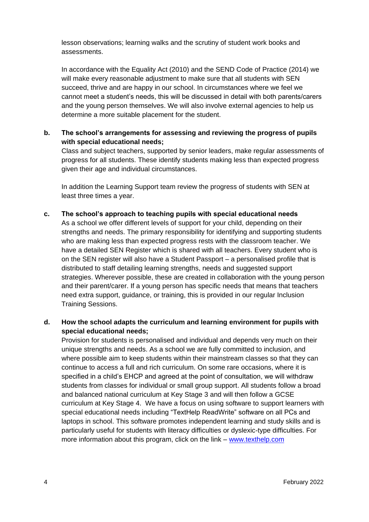lesson observations; learning walks and the scrutiny of student work books and assessments.

In accordance with the Equality Act (2010) and the SEND Code of Practice (2014) we will make every reasonable adjustment to make sure that all students with SEN succeed, thrive and are happy in our school. In circumstances where we feel we cannot meet a student's needs, this will be discussed in detail with both parents/carers and the young person themselves. We will also involve external agencies to help us determine a more suitable placement for the student.

#### **b. The school's arrangements for assessing and reviewing the progress of pupils with special educational needs;**

Class and subject teachers, supported by senior leaders, make regular assessments of progress for all students. These identify students making less than expected progress given their age and individual circumstances.

In addition the Learning Support team review the progress of students with SEN at least three times a year.

**c. The school's approach to teaching pupils with special educational needs**

As a school we offer different levels of support for your child, depending on their strengths and needs. The primary responsibility for identifying and supporting students who are making less than expected progress rests with the classroom teacher. We have a detailed SEN Register which is shared with all teachers. Every student who is on the SEN register will also have a Student Passport – a personalised profile that is distributed to staff detailing learning strengths, needs and suggested support strategies. Wherever possible, these are created in collaboration with the young person and their parent/carer. If a young person has specific needs that means that teachers need extra support, guidance, or training, this is provided in our regular Inclusion Training Sessions.

## **d. How the school adapts the curriculum and learning environment for pupils with special educational needs;**

Provision for students is personalised and individual and depends very much on their unique strengths and needs. As a school we are fully committed to inclusion, and where possible aim to keep students within their mainstream classes so that they can continue to access a full and rich curriculum. On some rare occasions, where it is specified in a child's EHCP and agreed at the point of consultation, we will withdraw students from classes for individual or small group support. All students follow a broad and balanced national curriculum at Key Stage 3 and will then follow a GCSE curriculum at Key Stage 4. We have a focus on using software to support learners with special educational needs including "TextHelp ReadWrite" software on all PCs and laptops in school. This software promotes independent learning and study skills and is particularly useful for students with literacy difficulties or dyslexic-type difficulties. For more information about this program, click on the link – [www.texthelp.com](http://www.texthelp.com/)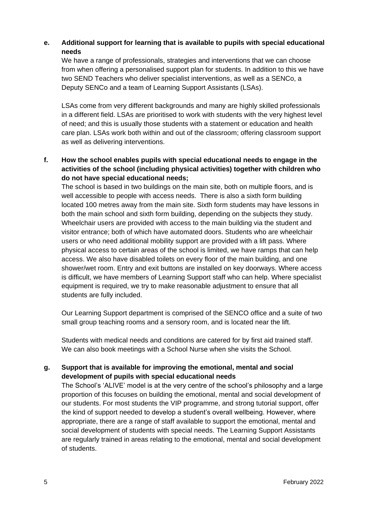## **e. Additional support for learning that is available to pupils with special educational needs**

We have a range of professionals, strategies and interventions that we can choose from when offering a personalised support plan for students. In addition to this we have two SEND Teachers who deliver specialist interventions, as well as a SENCo, a Deputy SENCo and a team of Learning Support Assistants (LSAs).

LSAs come from very different backgrounds and many are highly skilled professionals in a different field. LSAs are prioritised to work with students with the very highest level of need; and this is usually those students with a statement or education and health care plan. LSAs work both within and out of the classroom; offering classroom support as well as delivering interventions.

# **f. How the school enables pupils with special educational needs to engage in the activities of the school (including physical activities) together with children who do not have special educational needs;**

The school is based in two buildings on the main site, both on multiple floors, and is well accessible to people with access needs. There is also a sixth form building located 100 metres away from the main site. Sixth form students may have lessons in both the main school and sixth form building, depending on the subjects they study. Wheelchair users are provided with access to the main building via the student and visitor entrance; both of which have automated doors. Students who are wheelchair users or who need additional mobility support are provided with a lift pass. Where physical access to certain areas of the school is limited, we have ramps that can help access. We also have disabled toilets on every floor of the main building, and one shower/wet room. Entry and exit buttons are installed on key doorways. Where access is difficult, we have members of Learning Support staff who can help. Where specialist equipment is required, we try to make reasonable adjustment to ensure that all students are fully included.

Our Learning Support department is comprised of the SENCO office and a suite of two small group teaching rooms and a sensory room, and is located near the lift.

Students with medical needs and conditions are catered for by first aid trained staff. We can also book meetings with a School Nurse when she visits the School.

# **g. Support that is available for improving the emotional, mental and social development of pupils with special educational needs**

The School's 'ALIVE' model is at the very centre of the school's philosophy and a large proportion of this focuses on building the emotional, mental and social development of our students. For most students the VIP programme, and strong tutorial support, offer the kind of support needed to develop a student's overall wellbeing. However, where appropriate, there are a range of staff available to support the emotional, mental and social development of students with special needs. The Learning Support Assistants are regularly trained in areas relating to the emotional, mental and social development of students.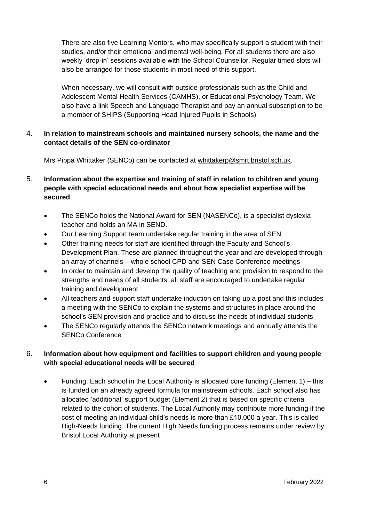There are also five Learning Mentors, who may specifically support a student with their studies, and/or their emotional and mental well-being. For all students there are also weekly 'drop-in' sessions available with the School Counsellor. Regular timed slots will also be arranged for those students in most need of this support.

When necessary, we will consult with outside professionals such as the Child and Adolescent Mental Health Services (CAMHS), or Educational Psychology Team. We also have a link Speech and Language Therapist and pay an annual subscription to be a member of SHIPS (Supporting Head Injured Pupils in Schools)

# 4. **In relation to mainstream schools and maintained nursery schools, the name and the contact details of the SEN co-ordinator**

Mrs Pippa Whittaker (SENCo) can be contacted at [whittakerp@smrt.bristol.sch.uk.](mailto:whittakerp@smrt.bristol.sch.uk)

# 5. **Information about the expertise and training of staff in relation to children and young people with special educational needs and about how specialist expertise will be secured**

- The SENCo holds the National Award for SEN (NASENCo), is a specialist dyslexia teacher and holds an MA in SEND.
- Our Learning Support team undertake regular training in the area of SEN
- Other training needs for staff are identified through the Faculty and School's Development Plan. These are planned throughout the year and are developed through an array of channels – whole school CPD and SEN Case Conference meetings
- In order to maintain and develop the quality of teaching and provision to respond to the strengths and needs of all students, all staff are encouraged to undertake regular training and development
- All teachers and support staff undertake induction on taking up a post and this includes a meeting with the SENCo to explain the systems and structures in place around the school's SEN provision and practice and to discuss the needs of individual students
- The SENCo regularly attends the SENCo network meetings and annually attends the SENCo Conference

# 6. **Information about how equipment and facilities to support children and young people with special educational needs will be secured**

 Funding. Each school in the Local Authority is allocated core funding (Element 1) – this is funded on an already agreed formula for mainstream schools. Each school also has allocated 'additional' support budget (Element 2) that is based on specific criteria related to the cohort of students. The Local Authority may contribute more funding if the cost of meeting an individual child's needs is more than £10,000 a year. This is called High-Needs funding. The current High Needs funding process remains under review by Bristol Local Authority at present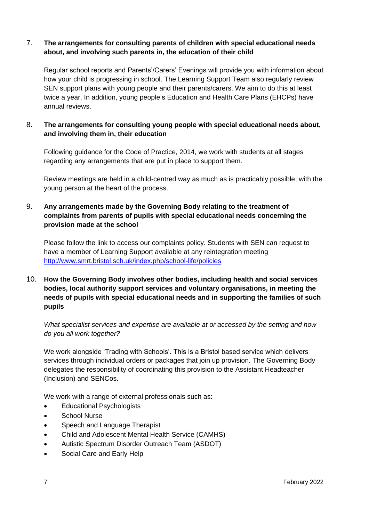#### 7. **The arrangements for consulting parents of children with special educational needs about, and involving such parents in, the education of their child**

Regular school reports and Parents'/Carers' Evenings will provide you with information about how your child is progressing in school. The Learning Support Team also regularly review SEN support plans with young people and their parents/carers. We aim to do this at least twice a year. In addition, young people's Education and Health Care Plans (EHCPs) have annual reviews.

#### 8. **The arrangements for consulting young people with special educational needs about, and involving them in, their education**

Following guidance for the Code of Practice, 2014, we work with students at all stages regarding any arrangements that are put in place to support them.

Review meetings are held in a child-centred way as much as is practicably possible, with the young person at the heart of the process.

## 9. **Any arrangements made by the Governing Body relating to the treatment of complaints from parents of pupils with special educational needs concerning the provision made at the school**

Please follow the link to access our complaints policy. Students with SEN can request to have a member of Learning Support available at any reintegration meeting <http://www.smrt.bristol.sch.uk/index.php/school-life/policies>

## 10. **How the Governing Body involves other bodies, including health and social services bodies, local authority support services and voluntary organisations, in meeting the needs of pupils with special educational needs and in supporting the families of such pupils**

*What specialist services and expertise are available at or accessed by the setting and how do you all work together?*

We work alongside 'Trading with Schools'. This is a Bristol based service which delivers services through individual orders or packages that join up provision. The Governing Body delegates the responsibility of coordinating this provision to the Assistant Headteacher (Inclusion) and SENCos.

We work with a range of external professionals such as:

- Educational Psychologists
- School Nurse
- Speech and Language Therapist
- Child and Adolescent Mental Health Service (CAMHS)
- Autistic Spectrum Disorder Outreach Team (ASDOT)
- Social Care and Early Help